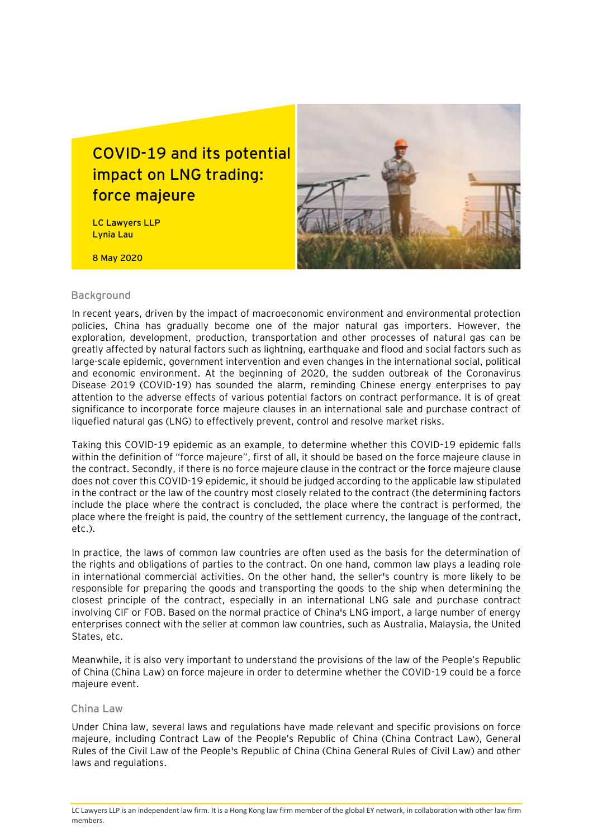## **COVID-19 and its potential impact on LNG trading: force majeure**

LC Lawyers LLP Lynia Lau

8 May 2020



#### **Background**

In recent years, driven by the impact of macroeconomic environment and environmental protection policies, China has gradually become one of the major natural gas importers. However, the exploration, development, production, transportation and other processes of natural gas can be greatly affected by natural factors such as lightning, earthquake and flood and social factors such as large-scale epidemic, government intervention and even changes in the international social, political and economic environment. At the beginning of 2020, the sudden outbreak of the Coronavirus Disease 2019 (COVID-19) has sounded the alarm, reminding Chinese energy enterprises to pay attention to the adverse effects of various potential factors on contract performance. It is of great significance to incorporate force majeure clauses in an international sale and purchase contract of liquefied natural gas (LNG) to effectively prevent, control and resolve market risks.

Taking this COVID-19 epidemic as an example, to determine whether this COVID-19 epidemic falls within the definition of "force majeure", first of all, it should be based on the force majeure clause in the contract. Secondly, if there is no force majeure clause in the contract or the force majeure clause does not cover this COVID-19 epidemic, it should be judged according to the applicable law stipulated in the contract or the law of the country most closely related to the contract (the determining factors include the place where the contract is concluded, the place where the contract is performed, the place where the freight is paid, the country of the settlement currency, the language of the contract, etc.).

In practice, the laws of common law countries are often used as the basis for the determination of the rights and obligations of parties to the contract. On one hand, common law plays a leading role in international commercial activities. On the other hand, the seller's country is more likely to be responsible for preparing the goods and transporting the goods to the ship when determining the closest principle of the contract, especially in an international LNG sale and purchase contract involving CIF or FOB. Based on the normal practice of China's LNG import, a large number of energy enterprises connect with the seller at common law countries, such as Australia, Malaysia, the United States, etc.

Meanwhile, it is also very important to understand the provisions of the law of the People's Republic of China (China Law) on force majeure in order to determine whether the COVID-19 could be a force majeure event.

#### **China Law**

Under China law, several laws and regulations have made relevant and specific provisions on force majeure, including Contract Law of the People's Republic of China (China Contract Law), General Rules of the Civil Law of the People's Republic of China (China General Rules of Civil Law) and other laws and regulations.

LC Lawyers LLP is an independent law firm. It is a Hong Kong law firm member of the global EY network, in collaboration with other law firm members.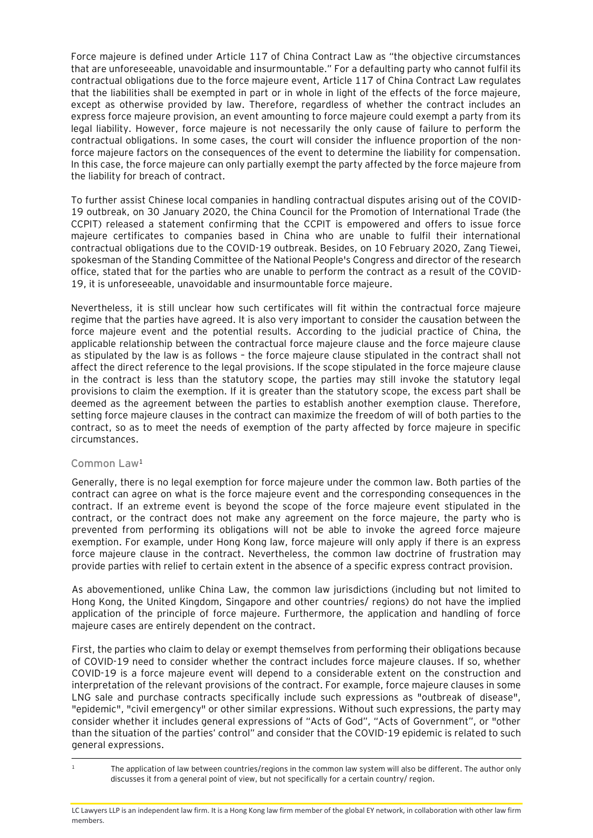Force majeure is defined under Article 117 of China Contract Law as "the objective circumstances that are unforeseeable, unavoidable and insurmountable." For a defaulting party who cannot fulfil its contractual obligations due to the force majeure event, Article 117 of China Contract Law regulates that the liabilities shall be exempted in part or in whole in light of the effects of the force majeure, except as otherwise provided by law. Therefore, regardless of whether the contract includes an express force majeure provision, an event amounting to force majeure could exempt a party from its legal liability. However, force majeure is not necessarily the only cause of failure to perform the contractual obligations. In some cases, the court will consider the influence proportion of the nonforce majeure factors on the consequences of the event to determine the liability for compensation. In this case, the force majeure can only partially exempt the party affected by the force majeure from the liability for breach of contract.

To further assist Chinese local companies in handling contractual disputes arising out of the COVID-19 outbreak, on 30 January 2020, the China Council for the Promotion of International Trade (the CCPIT) released a statement confirming that the CCPIT is empowered and offers to issue force majeure certificates to companies based in China who are unable to fulfil their international contractual obligations due to the COVID-19 outbreak. Besides, on 10 February 2020, Zang Tiewei, spokesman of the Standing Committee of the National People's Congress and director of the research office, stated that for the parties who are unable to perform the contract as a result of the COVID-19, it is unforeseeable, unavoidable and insurmountable force majeure.

Nevertheless, it is still unclear how such certificates will fit within the contractual force majeure regime that the parties have agreed. It is also very important to consider the causation between the force majeure event and the potential results. According to the judicial practice of China, the applicable relationship between the contractual force majeure clause and the force majeure clause as stipulated by the law is as follows – the force majeure clause stipulated in the contract shall not affect the direct reference to the legal provisions. If the scope stipulated in the force majeure clause in the contract is less than the statutory scope, the parties may still invoke the statutory legal provisions to claim the exemption. If it is greater than the statutory scope, the excess part shall be deemed as the agreement between the parties to establish another exemption clause. Therefore, setting force majeure clauses in the contract can maximize the freedom of will of both parties to the contract, so as to meet the needs of exemption of the party affected by force majeure in specific circumstances.

### **Common Law**<sup>1</sup>

Generally, there is no legal exemption for force majeure under the common law. Both parties of the contract can agree on what is the force majeure event and the corresponding consequences in the contract. If an extreme event is beyond the scope of the force majeure event stipulated in the contract, or the contract does not make any agreement on the force majeure, the party who is prevented from performing its obligations will not be able to invoke the agreed force majeure exemption. For example, under Hong Kong law, force majeure will only apply if there is an express force majeure clause in the contract. Nevertheless, the common law doctrine of frustration may provide parties with relief to certain extent in the absence of a specific express contract provision.

As abovementioned, unlike China Law, the common law jurisdictions (including but not limited to Hong Kong, the United Kingdom, Singapore and other countries/ regions) do not have the implied application of the principle of force majeure. Furthermore, the application and handling of force majeure cases are entirely dependent on the contract.

First, the parties who claim to delay or exempt themselves from performing their obligations because of COVID-19 need to consider whether the contract includes force majeure clauses. If so, whether COVID-19 is a force majeure event will depend to a considerable extent on the construction and interpretation of the relevant provisions of the contract. For example, force majeure clauses in some LNG sale and purchase contracts specifically include such expressions as "outbreak of disease", "epidemic", "civil emergency" or other similar expressions. Without such expressions, the party may consider whether it includes general expressions of "Acts of God", "Acts of Government", or "other than the situation of the parties' control" and consider that the COVID-19 epidemic is related to such general expressions.

<sup>&</sup>lt;sup>1</sup> The application of law between countries/regions in the common law system will also be different. The author only discusses it from a general point of view, but not specifically for a certain country/ region.

LC Lawyers LLP is an independent law firm. It is a Hong Kong law firm member of the global EY network, in collaboration with other law firm members.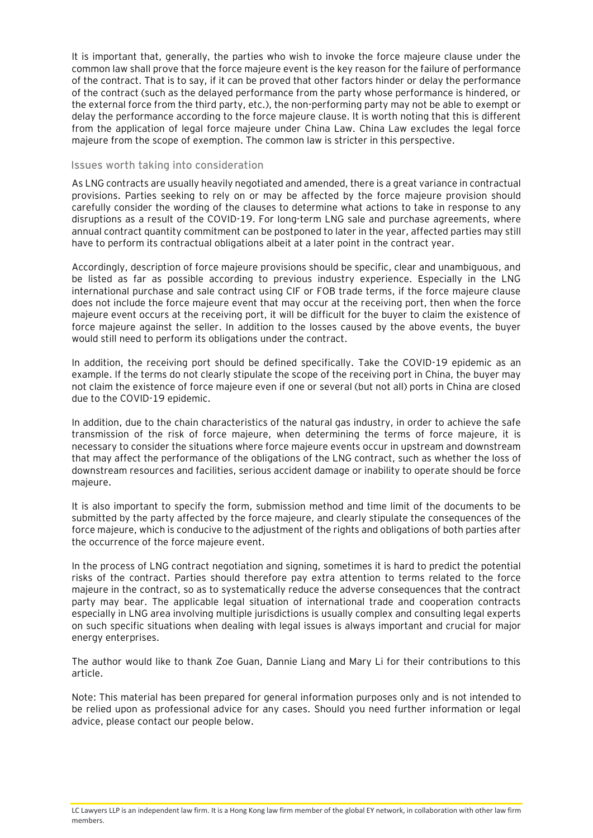It is important that, generally, the parties who wish to invoke the force majeure clause under the common law shall prove that the force majeure event is the key reason for the failure of performance of the contract. That is to say, if it can be proved that other factors hinder or delay the performance of the contract (such as the delayed performance from the party whose performance is hindered, or the external force from the third party, etc.), the non-performing party may not be able to exempt or delay the performance according to the force majeure clause. It is worth noting that this is different from the application of legal force majeure under China Law. China Law excludes the legal force majeure from the scope of exemption. The common law is stricter in this perspective.

### **Issues worth taking into consideration**

As LNG contracts are usually heavily negotiated and amended, there is a great variance in contractual provisions. Parties seeking to rely on or may be affected by the force majeure provision should carefully consider the wording of the clauses to determine what actions to take in response to any disruptions as a result of the COVID-19. For long-term LNG sale and purchase agreements, where annual contract quantity commitment can be postponed to later in the year, affected parties may still have to perform its contractual obligations albeit at a later point in the contract year.

Accordingly, description of force majeure provisions should be specific, clear and unambiguous, and be listed as far as possible according to previous industry experience. Especially in the LNG international purchase and sale contract using CIF or FOB trade terms, if the force majeure clause does not include the force majeure event that may occur at the receiving port, then when the force majeure event occurs at the receiving port, it will be difficult for the buyer to claim the existence of force majeure against the seller. In addition to the losses caused by the above events, the buyer would still need to perform its obligations under the contract.

In addition, the receiving port should be defined specifically. Take the COVID-19 epidemic as an example. If the terms do not clearly stipulate the scope of the receiving port in China, the buyer may not claim the existence of force majeure even if one or several (but not all) ports in China are closed due to the COVID-19 epidemic.

In addition, due to the chain characteristics of the natural gas industry, in order to achieve the safe transmission of the risk of force majeure, when determining the terms of force majeure, it is necessary to consider the situations where force majeure events occur in upstream and downstream that may affect the performance of the obligations of the LNG contract, such as whether the loss of downstream resources and facilities, serious accident damage or inability to operate should be force majeure.

It is also important to specify the form, submission method and time limit of the documents to be submitted by the party affected by the force majeure, and clearly stipulate the consequences of the force majeure, which is conducive to the adjustment of the rights and obligations of both parties after the occurrence of the force majeure event.

In the process of LNG contract negotiation and signing, sometimes it is hard to predict the potential risks of the contract. Parties should therefore pay extra attention to terms related to the force majeure in the contract, so as to systematically reduce the adverse consequences that the contract party may bear. The applicable legal situation of international trade and cooperation contracts especially in LNG area involving multiple jurisdictions is usually complex and consulting legal experts on such specific situations when dealing with legal issues is always important and crucial for major energy enterprises.

The author would like to thank Zoe Guan, Dannie Liang and Mary Li for their contributions to this article.

Note: This material has been prepared for general information purposes only and is not intended to be relied upon as professional advice for any cases. Should you need further information or legal advice, please contact our people below.

LC Lawyers LLP is an independent law firm. It is a Hong Kong law firm member of the global EY network, in collaboration with other law firm members.